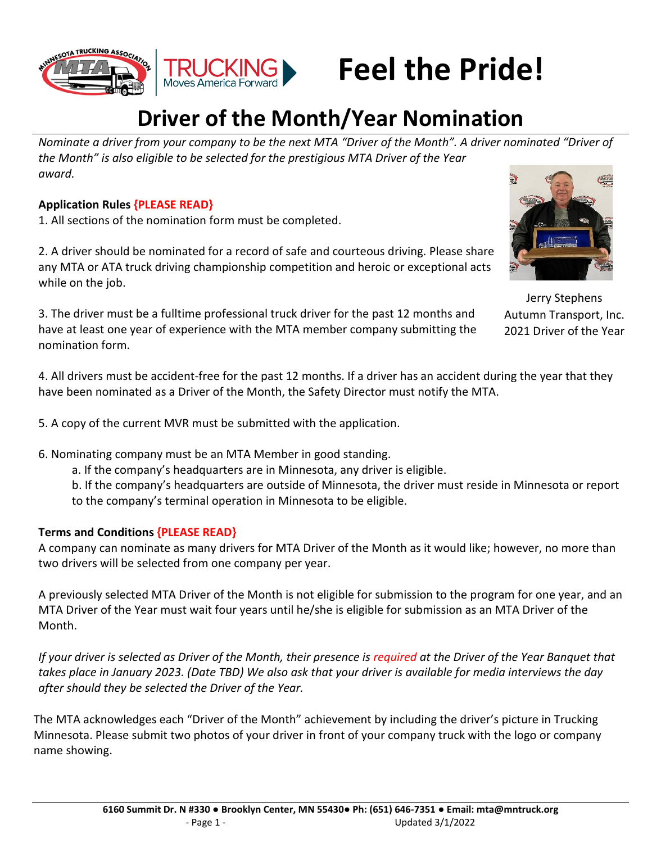



# **Feel the Pride!**

# **Driver of the Month/Year Nomination**

*Nominate a driver from your company to be the next MTA "Driver of the Month". A driver nominated "Driver of the Month" is also eligible to be selected for the prestigious MTA Driver of the Year award.* 

# **Application Rules {PLEASE READ}**

1. All sections of the nomination form must be completed.

2. A driver should be nominated for a record of safe and courteous driving. Please share any MTA or ATA truck driving championship competition and heroic or exceptional acts while on the job.



Jerry Stephens Autumn Transport, Inc. 2021 Driver of the Year

3. The driver must be a fulltime professional truck driver for the past 12 months and have at least one year of experience with the MTA member company submitting the nomination form.

4. All drivers must be accident-free for the past 12 months. If a driver has an accident during the year that they have been nominated as a Driver of the Month, the Safety Director must notify the MTA.

5. A copy of the current MVR must be submitted with the application.

6. Nominating company must be an MTA Member in good standing.

a. If the company's headquarters are in Minnesota, any driver is eligible.

b. If the company's headquarters are outside of Minnesota, the driver must reside in Minnesota or report to the company's terminal operation in Minnesota to be eligible.

# **Terms and Conditions {PLEASE READ}**

A company can nominate as many drivers for MTA Driver of the Month as it would like; however, no more than two drivers will be selected from one company per year.

A previously selected MTA Driver of the Month is not eligible for submission to the program for one year, and an MTA Driver of the Year must wait four years until he/she is eligible for submission as an MTA Driver of the Month.

*If your driver is selected as Driver of the Month, their presence is required at the Driver of the Year Banquet that takes place in January 2023. (Date TBD) We also ask that your driver is available for media interviews the day after should they be selected the Driver of the Year.*

The MTA acknowledges each "Driver of the Month" achievement by including the driver's picture in Trucking Minnesota. Please submit two photos of your driver in front of your company truck with the logo or company name showing.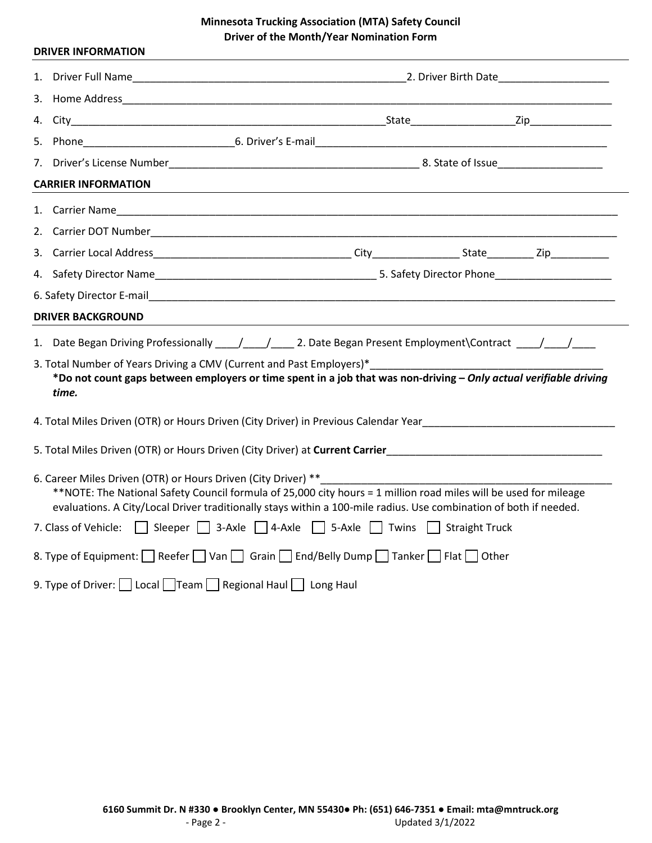|  | <b>DRIVER INFORMATION</b>                                     |                                                                                                                                                                                                                                                                                                            |  |  |  |  |  |
|--|---------------------------------------------------------------|------------------------------------------------------------------------------------------------------------------------------------------------------------------------------------------------------------------------------------------------------------------------------------------------------------|--|--|--|--|--|
|  |                                                               |                                                                                                                                                                                                                                                                                                            |  |  |  |  |  |
|  |                                                               |                                                                                                                                                                                                                                                                                                            |  |  |  |  |  |
|  |                                                               |                                                                                                                                                                                                                                                                                                            |  |  |  |  |  |
|  |                                                               |                                                                                                                                                                                                                                                                                                            |  |  |  |  |  |
|  |                                                               |                                                                                                                                                                                                                                                                                                            |  |  |  |  |  |
|  | <b>CARRIER INFORMATION</b>                                    |                                                                                                                                                                                                                                                                                                            |  |  |  |  |  |
|  |                                                               |                                                                                                                                                                                                                                                                                                            |  |  |  |  |  |
|  |                                                               |                                                                                                                                                                                                                                                                                                            |  |  |  |  |  |
|  |                                                               |                                                                                                                                                                                                                                                                                                            |  |  |  |  |  |
|  |                                                               |                                                                                                                                                                                                                                                                                                            |  |  |  |  |  |
|  |                                                               |                                                                                                                                                                                                                                                                                                            |  |  |  |  |  |
|  | <b>DRIVER BACKGROUND</b>                                      |                                                                                                                                                                                                                                                                                                            |  |  |  |  |  |
|  | time.                                                         | 1. Date Began Driving Professionally ____/____/_____ 2. Date Began Present Employment\Contract ____/____/____<br>3. Total Number of Years Driving a CMV (Current and Past Employers)*<br>*Do not count gaps between employers or time spent in a job that was non-driving - Only actual verifiable driving |  |  |  |  |  |
|  |                                                               | 4. Total Miles Driven (OTR) or Hours Driven (City Driver) in Previous Calendar Year                                                                                                                                                                                                                        |  |  |  |  |  |
|  |                                                               |                                                                                                                                                                                                                                                                                                            |  |  |  |  |  |
|  | 6. Career Miles Driven (OTR) or Hours Driven (City Driver) ** | **NOTE: The National Safety Council formula of 25,000 city hours = 1 million road miles will be used for mileage<br>evaluations. A City/Local Driver traditionally stays within a 100-mile radius. Use combination of both if needed.                                                                      |  |  |  |  |  |
|  |                                                               | 7. Class of Vehicle: Sleeper 3-Axle 4-Axle 5-Axle Twins Straight Truck                                                                                                                                                                                                                                     |  |  |  |  |  |
|  |                                                               | 8. Type of Equipment: Reefer Van Grain End/Belly Dump Tanker Flat Other                                                                                                                                                                                                                                    |  |  |  |  |  |
|  | 9. Type of Driver: Local Team Regional Haul Long Haul         |                                                                                                                                                                                                                                                                                                            |  |  |  |  |  |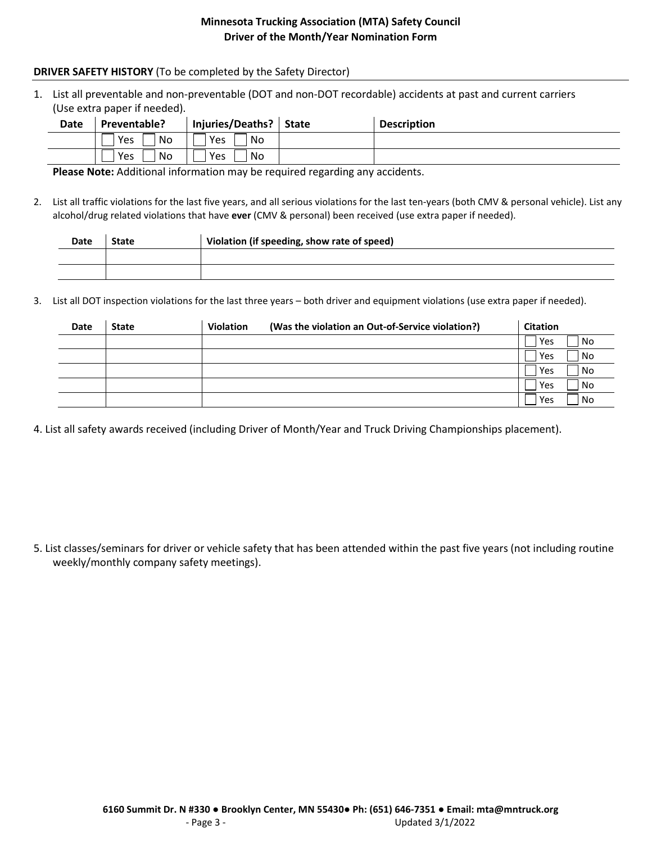## **DRIVER SAFETY HISTORY** (To be completed by the Safety Director)

1. List all preventable and non-preventable (DOT and non-DOT recordable) accidents at past and current carriers (Use extra paper if needed).

| <b>Date</b> | Preventable? | Injuries/Deaths?   State | <b>Description</b> |
|-------------|--------------|--------------------------|--------------------|
|             | l No<br>Yes  | Yes<br>No                |                    |
|             | ' No<br>Yes  | Yes<br>No                |                    |

**Please Note:** Additional information may be required regarding any accidents.

2. List all traffic violations for the last five years, and all serious violations for the last ten-years (both CMV & personal vehicle). List any alcohol/drug related violations that have **ever** (CMV & personal) been received (use extra paper if needed).

| <b>Date</b> | <b>State</b> | Violation (if speeding, show rate of speed) |  |  |
|-------------|--------------|---------------------------------------------|--|--|
|             |              |                                             |  |  |
|             |              |                                             |  |  |

3. List all DOT inspection violations for the last three years – both driver and equipment violations (use extra paper if needed).

| Date | <b>State</b> | <b>Violation</b> | (Was the violation an Out-of-Service violation?) | <b>Citation</b> |     |
|------|--------------|------------------|--------------------------------------------------|-----------------|-----|
|      |              |                  |                                                  | Yes             | No  |
|      |              |                  |                                                  | Yes             | No  |
|      |              |                  |                                                  | Yes             | No  |
|      |              |                  |                                                  | Yes             | No  |
|      |              |                  |                                                  | Yes             | No. |

4. List all safety awards received (including Driver of Month/Year and Truck Driving Championships placement).

5. List classes/seminars for driver or vehicle safety that has been attended within the past five years (not including routine weekly/monthly company safety meetings).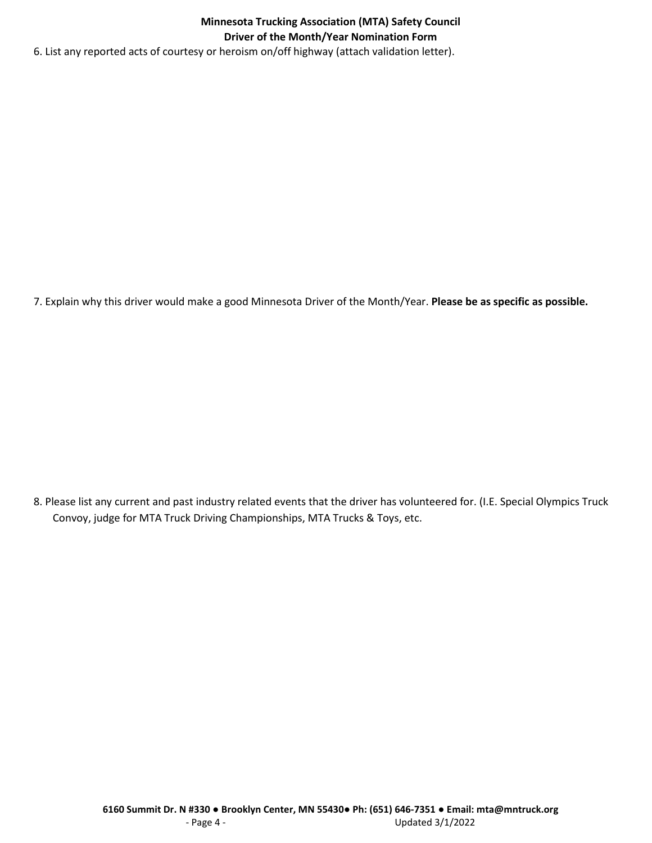6. List any reported acts of courtesy or heroism on/off highway (attach validation letter).

7. Explain why this driver would make a good Minnesota Driver of the Month/Year. **Please be as specific as possible.**

8. Please list any current and past industry related events that the driver has volunteered for. (I.E. Special Olympics Truck Convoy, judge for MTA Truck Driving Championships, MTA Trucks & Toys, etc.